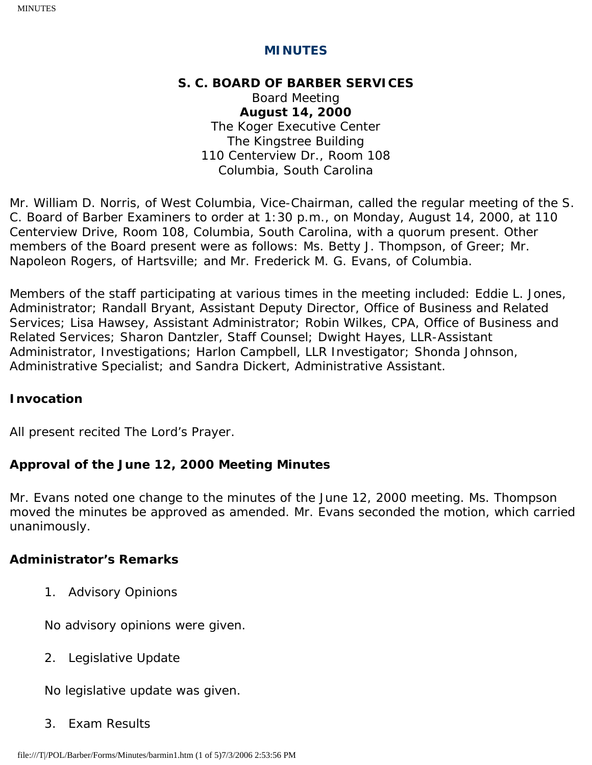# **MINUTES**

### **S. C. BOARD OF BARBER SERVICES**

Board Meeting **August 14, 2000** The Koger Executive Center The Kingstree Building 110 Centerview Dr., Room 108 Columbia, South Carolina

Mr. William D. Norris, of West Columbia, Vice-Chairman, called the regular meeting of the S. C. Board of Barber Examiners to order at 1:30 p.m., on Monday, August 14, 2000, at 110 Centerview Drive, Room 108, Columbia, South Carolina, with a quorum present. Other members of the Board present were as follows: Ms. Betty J. Thompson, of Greer; Mr. Napoleon Rogers, of Hartsville; and Mr. Frederick M. G. Evans, of Columbia.

Members of the staff participating at various times in the meeting included: Eddie L. Jones, Administrator; Randall Bryant, Assistant Deputy Director, Office of Business and Related Services; Lisa Hawsey, Assistant Administrator; Robin Wilkes, CPA, Office of Business and Related Services; Sharon Dantzler, Staff Counsel; Dwight Hayes, LLR-Assistant Administrator, Investigations; Harlon Campbell, LLR Investigator; Shonda Johnson, Administrative Specialist; and Sandra Dickert, Administrative Assistant.

### **Invocation**

All present recited The Lord's Prayer.

### **Approval of the June 12, 2000 Meeting Minutes**

Mr. Evans noted one change to the minutes of the June 12, 2000 meeting. Ms. Thompson moved the minutes be approved as amended. Mr. Evans seconded the motion, which carried unanimously.

### **Administrator's Remarks**

1. Advisory Opinions

No advisory opinions were given.

2. Legislative Update

No legislative update was given.

3. Exam Results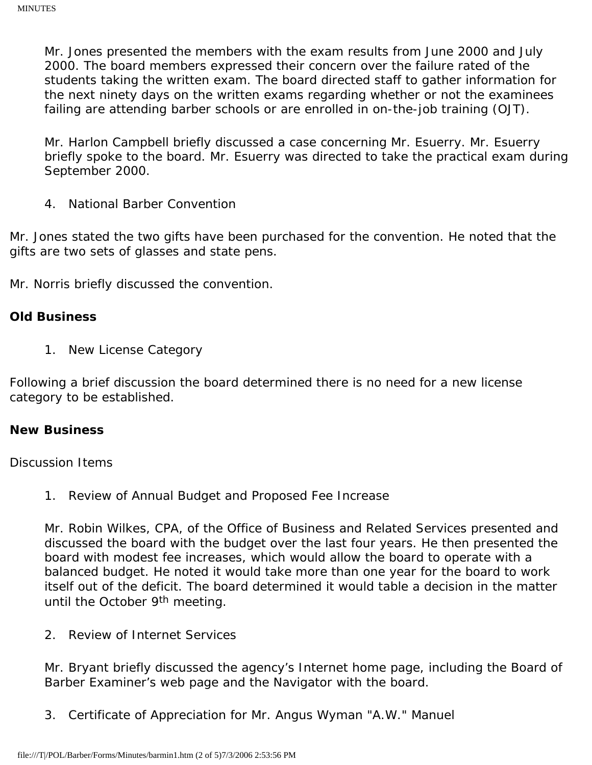Mr. Jones presented the members with the exam results from June 2000 and July 2000. The board members expressed their concern over the failure rated of the students taking the written exam. The board directed staff to gather information for the next ninety days on the written exams regarding whether or not the examinees failing are attending barber schools or are enrolled in on-the-job training (OJT).

Mr. Harlon Campbell briefly discussed a case concerning Mr. Esuerry. Mr. Esuerry briefly spoke to the board. Mr. Esuerry was directed to take the practical exam during September 2000.

4. National Barber Convention

Mr. Jones stated the two gifts have been purchased for the convention. He noted that the gifts are two sets of glasses and state pens.

Mr. Norris briefly discussed the convention.

### **Old Business**

1. New License Category

Following a brief discussion the board determined there is no need for a new license category to be established.

#### **New Business**

#### Discussion Items

1. Review of Annual Budget and Proposed Fee Increase

Mr. Robin Wilkes, CPA, of the Office of Business and Related Services presented and discussed the board with the budget over the last four years. He then presented the board with modest fee increases, which would allow the board to operate with a balanced budget. He noted it would take more than one year for the board to work itself out of the deficit. The board determined it would table a decision in the matter until the October 9<sup>th</sup> meeting.

2. Review of Internet Services

Mr. Bryant briefly discussed the agency's Internet home page, including the Board of Barber Examiner's web page and the Navigator with the board.

3. Certificate of Appreciation for Mr. Angus Wyman "A.W." Manuel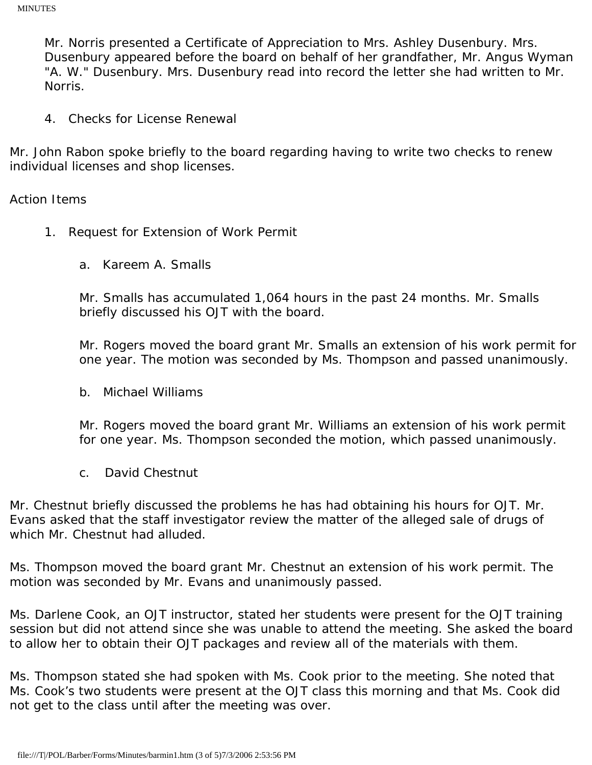Mr. Norris presented a Certificate of Appreciation to Mrs. Ashley Dusenbury. Mrs. Dusenbury appeared before the board on behalf of her grandfather, Mr. Angus Wyman "A. W." Dusenbury. Mrs. Dusenbury read into record the letter she had written to Mr. Norris.

4. Checks for License Renewal

Mr. John Rabon spoke briefly to the board regarding having to write two checks to renew individual licenses and shop licenses.

Action Items

- 1. Request for Extension of Work Permit
	- a. Kareem A. Smalls

Mr. Smalls has accumulated 1,064 hours in the past 24 months. Mr. Smalls briefly discussed his OJT with the board.

Mr. Rogers moved the board grant Mr. Smalls an extension of his work permit for one year. The motion was seconded by Ms. Thompson and passed unanimously.

b. Michael Williams

Mr. Rogers moved the board grant Mr. Williams an extension of his work permit for one year. Ms. Thompson seconded the motion, which passed unanimously.

c. David Chestnut

Mr. Chestnut briefly discussed the problems he has had obtaining his hours for OJT. Mr. Evans asked that the staff investigator review the matter of the alleged sale of drugs of which Mr. Chestnut had alluded.

Ms. Thompson moved the board grant Mr. Chestnut an extension of his work permit. The motion was seconded by Mr. Evans and unanimously passed.

Ms. Darlene Cook, an OJT instructor, stated her students were present for the OJT training session but did not attend since she was unable to attend the meeting. She asked the board to allow her to obtain their OJT packages and review all of the materials with them.

Ms. Thompson stated she had spoken with Ms. Cook prior to the meeting. She noted that Ms. Cook's two students were present at the OJT class this morning and that Ms. Cook did not get to the class until after the meeting was over.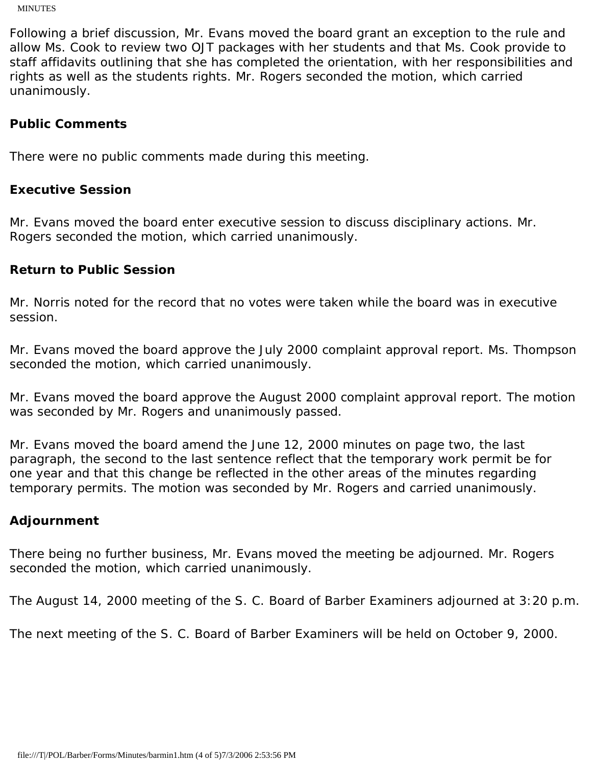MINUTES

Following a brief discussion, Mr. Evans moved the board grant an exception to the rule and allow Ms. Cook to review two OJT packages with her students and that Ms. Cook provide to staff affidavits outlining that she has completed the orientation, with her responsibilities and rights as well as the students rights. Mr. Rogers seconded the motion, which carried unanimously.

## **Public Comments**

There were no public comments made during this meeting.

### **Executive Session**

Mr. Evans moved the board enter executive session to discuss disciplinary actions. Mr. Rogers seconded the motion, which carried unanimously.

### **Return to Public Session**

Mr. Norris noted for the record that no votes were taken while the board was in executive session.

Mr. Evans moved the board approve the July 2000 complaint approval report. Ms. Thompson seconded the motion, which carried unanimously.

Mr. Evans moved the board approve the August 2000 complaint approval report. The motion was seconded by Mr. Rogers and unanimously passed.

Mr. Evans moved the board amend the June 12, 2000 minutes on page two, the last paragraph, the second to the last sentence reflect that the temporary work permit be for one year and that this change be reflected in the other areas of the minutes regarding temporary permits. The motion was seconded by Mr. Rogers and carried unanimously.

### **Adjournment**

There being no further business, Mr. Evans moved the meeting be adjourned. Mr. Rogers seconded the motion, which carried unanimously.

The August 14, 2000 meeting of the S. C. Board of Barber Examiners adjourned at 3:20 p.m.

The next meeting of the S. C. Board of Barber Examiners will be held on October 9, 2000.